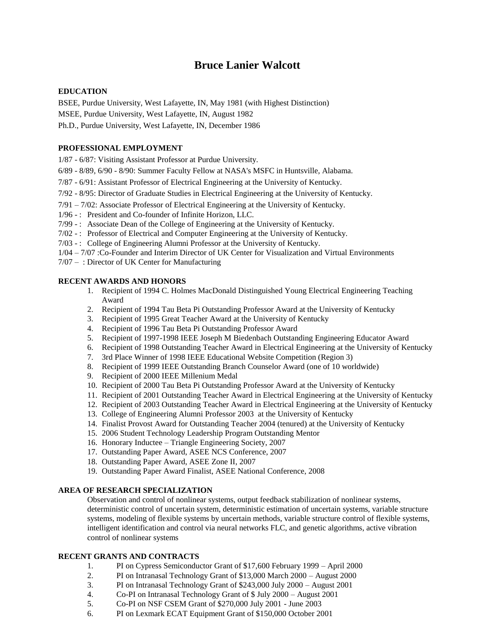# **Bruce Lanier Walcott**

#### **EDUCATION**

BSEE, Purdue University, West Lafayette, IN, May 1981 (with Highest Distinction)

MSEE, Purdue University, West Lafayette, IN, August 1982

Ph.D., Purdue University, West Lafayette, IN, December 1986

### **PROFESSIONAL EMPLOYMENT**

1/87 - 6/87: Visiting Assistant Professor at Purdue University.

- 6/89 8/89, 6/90 8/90: Summer Faculty Fellow at NASA's MSFC in Huntsville, Alabama.
- 7/87 6/91: Assistant Professor of Electrical Engineering at the University of Kentucky.
- 7/92 8/95: Director of Graduate Studies in Electrical Engineering at the University of Kentucky.
- 7/91 7/02: Associate Professor of Electrical Engineering at the University of Kentucky.
- 1/96 : President and Co-founder of Infinite Horizon, LLC.
- 7/99 -: Associate Dean of the College of Engineering at the University of Kentucky.
- 7/02 : Professor of Electrical and Computer Engineering at the University of Kentucky.
- 7/03 -: College of Engineering Alumni Professor at the University of Kentucky.
- 1/04 7/07 :Co-Founder and Interim Director of UK Center for Visualization and Virtual Environments
- 7/07 : Director of UK Center for Manufacturing

#### **RECENT AWARDS AND HONORS**

- 1. Recipient of 1994 C. Holmes MacDonald Distinguished Young Electrical Engineering Teaching Award
- 2. Recipient of 1994 Tau Beta Pi Outstanding Professor Award at the University of Kentucky
- 3. Recipient of 1995 Great Teacher Award at the University of Kentucky
- 4. Recipient of 1996 Tau Beta Pi Outstanding Professor Award
- 5. Recipient of 1997-1998 IEEE Joseph M Biedenbach Outstanding Engineering Educator Award
- 6. Recipient of 1998 Outstanding Teacher Award in Electrical Engineering at the University of Kentucky
- 7. 3rd Place Winner of 1998 IEEE Educational Website Competition (Region 3)
- 8. Recipient of 1999 IEEE Outstanding Branch Counselor Award (one of 10 worldwide)
- 9. Recipient of 2000 IEEE Millenium Medal
- 10. Recipient of 2000 Tau Beta Pi Outstanding Professor Award at the University of Kentucky
- 11. Recipient of 2001 Outstanding Teacher Award in Electrical Engineering at the University of Kentucky
- 12. Recipient of 2003 Outstanding Teacher Award in Electrical Engineering at the University of Kentucky
- 13. College of Engineering Alumni Professor 2003 at the University of Kentucky
- 14. Finalist Provost Award for Outstanding Teacher 2004 (tenured) at the University of Kentucky
- 15. 2006 Student Technology Leadership Program Outstanding Mentor
- 16. Honorary Inductee Triangle Engineering Society, 2007
- 17. Outstanding Paper Award, ASEE NCS Conference, 2007
- 18. Outstanding Paper Award, ASEE Zone II, 2007
- 19. Outstanding Paper Award Finalist, ASEE National Conference, 2008

#### **AREA OF RESEARCH SPECIALIZATION**

Observation and control of nonlinear systems, output feedback stabilization of nonlinear systems, deterministic control of uncertain system, deterministic estimation of uncertain systems, variable structure systems, modeling of flexible systems by uncertain methods, variable structure control of flexible systems, intelligent identification and control via neural networks FLC, and genetic algorithms, active vibration control of nonlinear systems

#### **RECENT GRANTS AND CONTRACTS**

- 1. PI on Cypress Semiconductor Grant of \$17,600 February 1999 April 2000
- 2. PI on Intranasal Technology Grant of \$13,000 March 2000 August 2000
- 3. PI on Intranasal Technology Grant of \$243,000 July 2000 August 2001
- 4. Co-PI on Intranasal Technology Grant of \$ July 2000 August 2001
- 5. Co-PI on NSF CSEM Grant of \$270,000 July 2001 June 2003
- 6. PI on Lexmark ECAT Equipment Grant of \$150,000 October 2001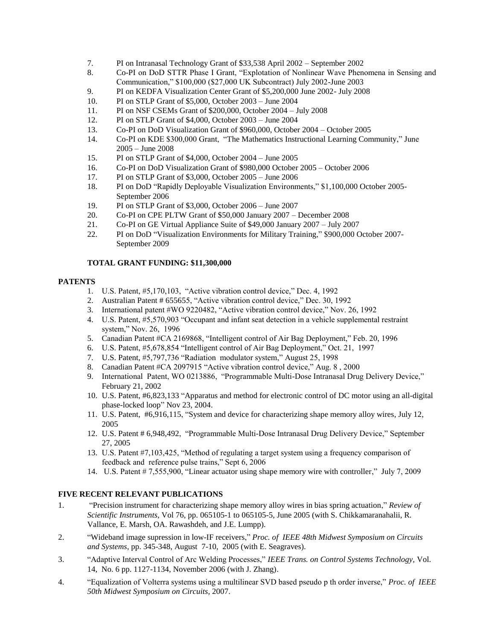- 7. PI on Intranasal Technology Grant of \$33,538 April 2002 September 2002
- 8. Co-PI on DoD STTR Phase I Grant, "Explotation of Nonlinear Wave Phenomena in Sensing and Communication," \$100,000 (\$27,000 UK Subcontract) July 2002-June 2003
- 9. PI on KEDFA Visualization Center Grant of \$5,200,000 June 2002- July 2008
- 10. PI on STLP Grant of \$5,000, October 2003 June 2004
- 11. PI on NSF CSEMs Grant of \$200,000, October 2004 July 2008
- 12. PI on STLP Grant of \$4,000, October 2003 June 2004
- 13. Co-PI on DoD Visualization Grant of \$960,000, October 2004 October 2005
- 14. Co-PI on KDE \$300,000 Grant, "The Mathematics Instructional Learning Community," June 2005 – June 2008
- 15. PI on STLP Grant of \$4,000, October 2004 June 2005
- 16. Co-PI on DoD Visualization Grant of \$980,000 October 2005 October 2006
- 17. PI on STLP Grant of \$3,000, October 2005 June 2006
- 18. PI on DoD "Rapidly Deployable Visualization Environments," \$1,100,000 October 2005- September 2006
- 19. PI on STLP Grant of \$3,000, October 2006 June 2007
- 20. Co-PI on CPE PLTW Grant of \$50,000 January 2007 December 2008
- 21. Co-PI on GE Virtual Appliance Suite of \$49,000 January 2007 July 2007
- 22. PI on DoD "Visualization Environments for Military Training," \$900,000 October 2007- September 2009

#### **TOTAL GRANT FUNDING: \$11,300,000**

#### **PATENTS**

- 1. U.S. Patent, #5,170,103, "Active vibration control device," Dec. 4, 1992
- 2. Australian Patent # 655655, "Active vibration control device," Dec. 30, 1992
- 3. International patent #WO 9220482, "Active vibration control device," Nov. 26, 1992
- 4. U.S. Patent, #5,570,903 "Occupant and infant seat detection in a vehicle supplemental restraint system," Nov. 26, 1996
- 5. Canadian Patent #CA 2169868, "Intelligent control of Air Bag Deployment," Feb. 20, 1996
- 6. U.S. Patent, #5,678,854 "Intelligent control of Air Bag Deployment," Oct. 21, 1997
- 7. U.S. Patent, #5,797,736 "Radiation modulator system," August 25, 1998
- 8. Canadian Patent #CA 2097915 "Active vibration control device," Aug. 8 , 2000
- 9. International Patent, WO 0213886, "Programmable Multi-Dose Intranasal Drug Delivery Device," February 21, 2002
- 10. U.S. Patent, #6,823,133 "Apparatus and method for electronic control of DC motor using an all-digital phase-locked loop" Nov 23, 2004.
- 11. U.S. Patent, #6,916,115, "System and device for characterizing shape memory alloy wires, July 12, 2005
- 12. U.S. Patent # 6,948,492, "Programmable Multi-Dose Intranasal Drug Delivery Device," September 27, 2005
- 13. U.S. Patent #7,103,425, "Method of regulating a target system using a frequency comparison of feedback and reference pulse trains," Sept 6, 2006
- 14. U.S. Patent # 7,555,900, "Linear actuator using shape memory wire with controller," July 7, 2009

## **FIVE RECENT RELEVANT PUBLICATIONS**

- 1. "Precision instrument for characterizing shape memory alloy wires in bias spring actuation," *Review of Scientific Instruments,* Vol 76, pp. 065105-1 to 065105-5, June 2005 (with S. Chikkamaranahalii, R. Vallance, E. Marsh, OA. Rawashdeh, and J.E. Lumpp).
- 2. "Wideband image supression in low-IF receivers," *Proc. of IEEE 48th Midwest Symposium on Circuits and Systems*, pp. 345-348, August 7-10, 2005 (with E. Seagraves).
- 3. "Adaptive Interval Control of Arc Welding Processes," *IEEE Trans. on Control Systems Technology,* Vol. 14, No. 6 pp. 1127-1134, November 2006 (with J. Zhang).
- 4. "Equalization of Volterra systems using a multilinear SVD based pseudo p th order inverse," *Proc. of IEEE 50th Midwest Symposium on Circuits,* 2007.